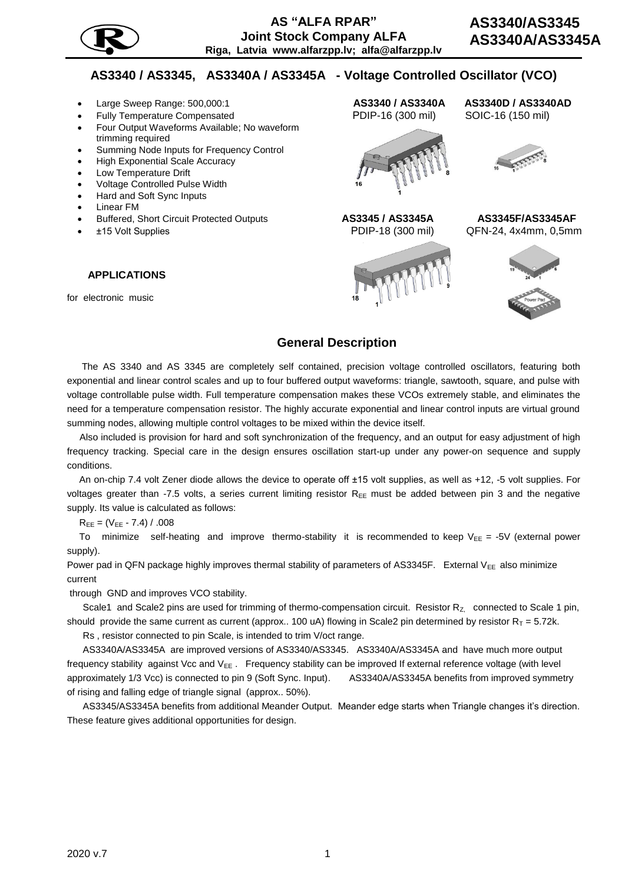

## **AS3340 / AS3345, AS3340A / AS3345A - Voltage Controlled Oscillator (VCO)**

- 
- Fully Temperature Compensated РDIP-16 (300 mil) SOIC-16 (150 mil)
- Four Output Waveforms Available; No waveform trimming required
- Summing Node Inputs for Frequency Control
- High Exponential Scale Accuracy
- Low Temperature Drift
- Voltage Controlled Pulse Width
- Hard and Soft Sync Inputs
- Linear FM
- Buffered, Short Circuit Protected Outputs **AS3345 / AS3345A AS3345F/AS3345AF**
- 

#### **APPLICATIONS**

for electronic music

# Large Sweep Range: 500,000:1 **AS3340 / AS3340A AS3340D / AS3340AD**





±15 Volt Supplies РDIP-18 (300 mil)QFN-24, 4x4mm, 0,5mm



### **General Description**

The AS 3340 and AS 3345 are completely self contained, precision voltage controlled oscillators, featuring both exponential and linear control scales and up to four buffered output waveforms: triangle, sawtooth, square, and pulse with voltage controllable pulse width. Full temperature compensation makes these VCOs extremely stable, and eliminates the need for a temperature compensation resistor. The highly accurate exponential and linear control inputs are virtual ground summing nodes, allowing multiple control voltages to be mixed within the device itself.

Also included is provision for hard and soft synchronization of the frequency, and an output for easy adjustment of high frequency tracking. Special care in the design ensures oscillation start-up under any power-on sequence and supply conditions.

An on-chip 7.4 volt Zener diode allows the device to operate off ±15 volt supplies, as well as +12, -5 volt supplies. For voltages greater than -7.5 volts, a series current limiting resistor  $R_{EE}$  must be added between pin 3 and the negative supply. Its value is calculated as follows:

 $R_{EE} = (V_{EE} - 7.4) / .008$ 

To minimize self-heating and improve thermo-stability it is recommended to keep  $V_{EE} = -5V$  (external power supply).

Power pad in QFN package highly improves thermal stability of parameters of AS3345F. External  $V_{EE}$  also minimize current

through GND and improves VCO stability.

Scale1 and Scale2 pins are used for trimming of thermo-compensation circuit. Resistor Rz, connected to Scale 1 pin, should provide the same current as current (approx.. 100 uA) flowing in Scale2 pin determined by resistor  $R_T = 5.72$ k.

Rs , resistor connected to pin Scale, is intended to trim V/oct range.

 AS3340A/AS3345A are improved versions of AS3340/AS3345. AS3340A/AS3345A and have much more output frequency stability against Vcc and  $V_{EE}$ . Frequency stability can be improved If external reference voltage (with level approximately 1/3 Vcc) is connected to pin 9 (Soft Sync. Input). AS3340A/AS3345A benefits from improved symmetry of rising and falling edge of triangle signal (approx.. 50%).

 AS3345/AS3345A benefits from additional Meander Output. Meander edge starts when Triangle changes it's direction. These feature gives additional opportunities for design.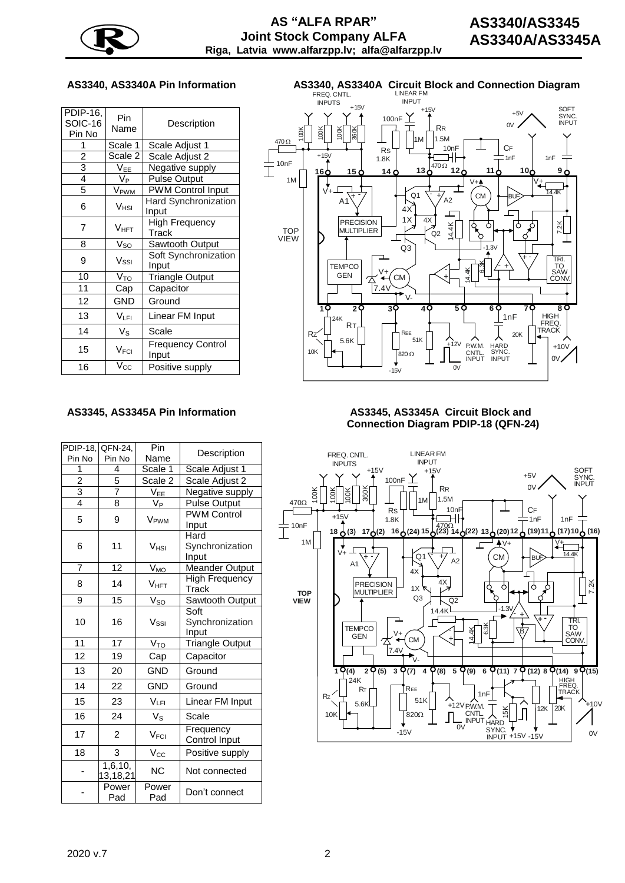

| PDIP-16,<br><b>SOIC-16</b><br>Pin No | Pin<br>Name      | Description                       |
|--------------------------------------|------------------|-----------------------------------|
| 1                                    | Scale 1          | Scale Adjust 1                    |
| $\overline{c}$                       | Scale 2          | Scale Adjust 2                    |
| 3                                    | $V_{EE}$         | Negative supply                   |
| 4                                    | V <sub>Р</sub>   | <b>Pulse Output</b>               |
| 5                                    | V <sub>PWM</sub> | <b>PWM Control Input</b>          |
| 6                                    | V <sub>HSI</sub> | Hard Synchronization<br>Input     |
| 7                                    | Vнғт             | <b>High Frequency</b><br>Track    |
| 8                                    | $V_{SO}$         | Sawtooth Output                   |
| 9                                    | $V_{\rm SSI}$    | Soft Synchronization<br>Input     |
| 10                                   | $V_{\text{TQ}}$  | <b>Triangle Output</b>            |
| 11                                   | Cap              | Capacitor                         |
| 12                                   | <b>GND</b>       | Ground                            |
| 13                                   | Vlfi.            | Linear FM Input                   |
| 14                                   | $V_{\rm S}$      | Scale                             |
| 15                                   | V <sub>FCI</sub> | <b>Frequency Control</b><br>Input |
| 16                                   | V <sub>cc</sub>  | Positive supply                   |

# **AS3340, AS3340A Pin Information AS3340, AS3340A Circuit Block and Connection Diagram** FREQ. CNTL. LINEAR FM



#### **AS3345, AS3345A Pin Information AS3345, AS3345A Circuit Block and**

| <b>PDIP-18.</b> | QFN-24,             | Pin                 |                        |  |
|-----------------|---------------------|---------------------|------------------------|--|
| Pin No          | Pin No              | Name                | Description            |  |
| 1               | 4                   | Scale 1             | Scale Adjust 1         |  |
| $\frac{2}{3}$   | 5                   | Scale 2             | Scale Adjust 2         |  |
|                 | 7                   | V <sub>EE</sub>     | Negative supply        |  |
| $\overline{4}$  | 8                   | .<br>V <sub>Р</sub> | Pulse Output           |  |
| 5               | 9                   | V <sub>PWM</sub>    | <b>PWM Control</b>     |  |
|                 |                     |                     | Input                  |  |
|                 |                     |                     | Hard                   |  |
| 6               | 11                  | V <sub>HSI</sub>    | Synchronization        |  |
|                 |                     |                     | Input                  |  |
| $\overline{7}$  | $\overline{12}$     | V <sub>MO</sub>     | <b>Meander Output</b>  |  |
| 8               | 14                  | V <sub>HFT</sub>    | High Frequency         |  |
|                 |                     |                     | Track                  |  |
| 9               | 15                  | $V_{SO}$            | <b>Sawtooth Output</b> |  |
|                 |                     |                     | Soft                   |  |
| 10              | 16                  | $V_{\rm SSI}$       | Synchronization        |  |
|                 |                     |                     | Input                  |  |
| $\overline{11}$ | $\overline{17}$     | V <sub>TO</sub>     | <b>Triangle Output</b> |  |
| 12              | 19                  | Cap                 | Capacitor              |  |
| 13              | 20                  | <b>GND</b>          | Ground                 |  |
| 14              | 22                  | <b>GND</b>          | Ground                 |  |
| 15              | 23                  | $V_{\text{LFL}}$    | Linear FM Input        |  |
| 16              | 24                  | V <sub>s</sub>      | Scale                  |  |
| 17              | $\overline{2}$      | V <sub>FCI</sub>    | Frequency              |  |
|                 |                     |                     | <b>Control Input</b>   |  |
| 18              | 3                   | Vcc                 | Positive supply        |  |
|                 | 1,6,10,<br>13,18,21 | <b>NC</b>           | Not connected          |  |
|                 | Power<br>Pad        | Power<br>Pad        | Don't connect          |  |

# **Connection Diagram PDIP-18 (QFN-24)**

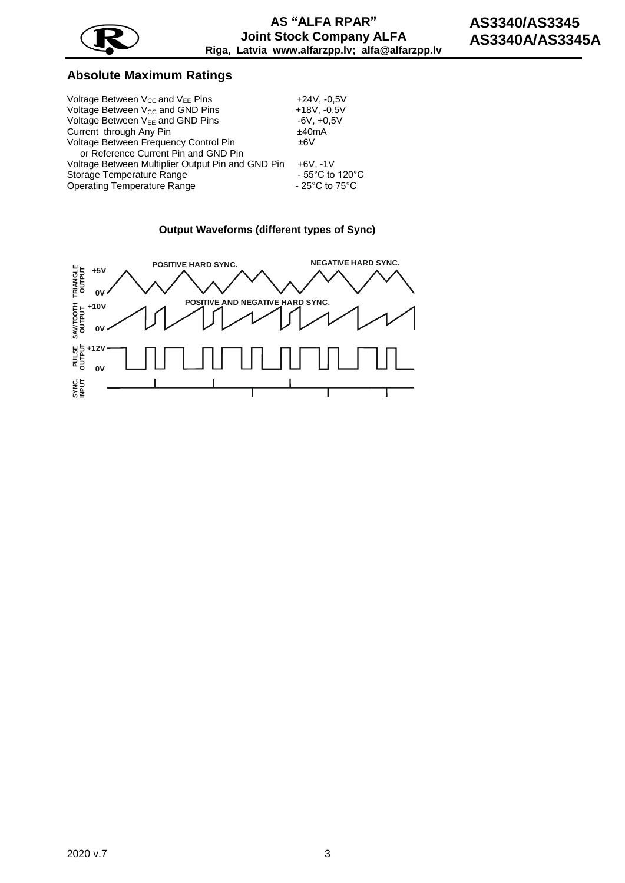

# **Absolute Maximum Ratings**

| Voltage Between $V_{CC}$ and $V_{EE}$ Pins        | $+24V, -0.5V$                       |
|---------------------------------------------------|-------------------------------------|
| Voltage Between V <sub>CC</sub> and GND Pins      | $+18V, -0, 5V$                      |
| Voltage Between V <sub>EE</sub> and GND Pins      | $-6V, +0.5V$                        |
| Current through Any Pin                           | ±40mA                               |
| Voltage Between Frequency Control Pin             | ±6V                                 |
| or Reference Current Pin and GND Pin              |                                     |
| Voltage Between Multiplier Output Pin and GND Pin | $+6V. -1V$                          |
| Storage Temperature Range                         | $-55^{\circ}$ C to 120 $^{\circ}$ C |
| Operating Temperature Range                       | $-25^{\circ}$ C to 75 $^{\circ}$ C  |



#### **Output Waveforms (different types of Sync)**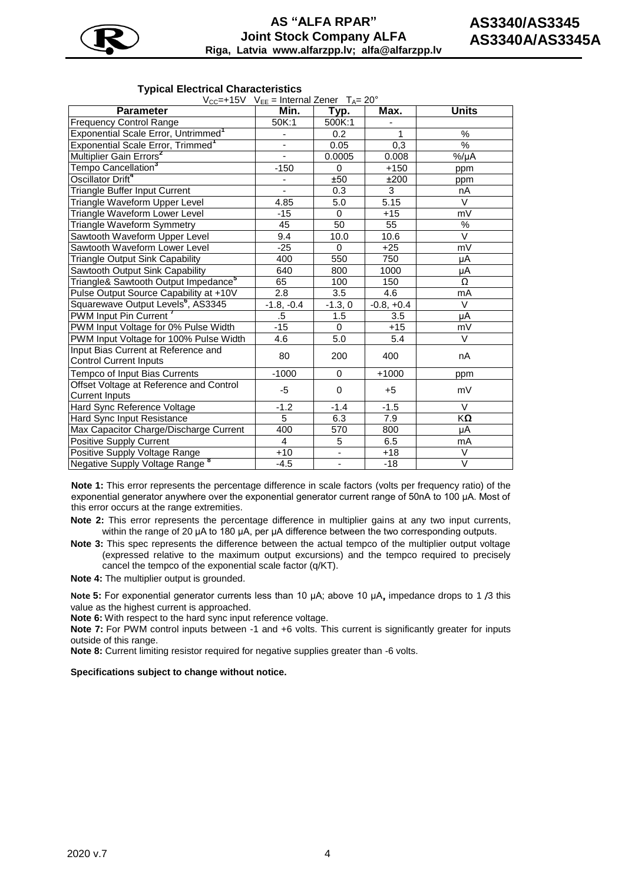

#### **Typical Electrical Characteristics**

 $V_{CC}=+15V$  V<sub>EE</sub> = Internal Zener  $T_{A}=20^{\circ}$ 

| , CC− , LO ,<br><b>Parameter</b>                                     | $V_{\text{EE}}$ – $V_{\text{H}}$ – $V_{\text{H}}$ – $V_{\text{H}}$ – $V_{\text{H}}$<br>Min. | Typ.                     | Max.         | <b>Units</b>  |
|----------------------------------------------------------------------|---------------------------------------------------------------------------------------------|--------------------------|--------------|---------------|
| <b>Frequency Control Range</b>                                       | 50K:1                                                                                       | 500K:1                   |              |               |
| Exponential Scale Error, Untrimmed <sup>1</sup>                      | -                                                                                           | 0.2                      |              | %             |
| Exponential Scale Error, Trimmed <sup>1</sup>                        |                                                                                             | 0.05                     | 0,3          | $\frac{0}{6}$ |
| Multiplier Gain Errors <sup>2</sup>                                  |                                                                                             | 0.0005                   | 0.008        | $%/\mu A$     |
| Tempo Cancellation <sup>3</sup>                                      | $-150$                                                                                      | 0                        | $+150$       | ppm           |
| Oscillator Drift <sup>4</sup>                                        |                                                                                             | ±50                      | ±200         | ppm           |
| Triangle Buffer Input Current                                        |                                                                                             | 0.3                      | 3            | nA            |
| Triangle Waveform Upper Level                                        | 4.85                                                                                        | 5.0                      | 5.15         | V             |
| Triangle Waveform Lower Level                                        | $-15$                                                                                       | $\Omega$                 | $+15$        | mV            |
| <b>Triangle Waveform Symmetry</b>                                    | 45                                                                                          | 50                       | 55           | $\%$          |
| Sawtooth Waveform Upper Level                                        | 9.4                                                                                         | 10.0                     | 10.6         | V             |
| Sawtooth Waveform Lower Level                                        | $-25$                                                                                       | $\mathbf 0$              | $+25$        | mV            |
| <b>Triangle Output Sink Capability</b>                               | 400                                                                                         | 550                      | 750          | μA            |
| Sawtooth Output Sink Capability                                      | 640                                                                                         | 800                      | 1000         | μA            |
| Triangle& Sawtooth Output Impedance <sup>5</sup>                     | 65                                                                                          | 100                      | 150          | Ω             |
| Pulse Output Source Capability at +10V                               | $\overline{2.8}$                                                                            | $\overline{3.5}$         | 4.6          | mA            |
| Squarewave Output Levels <sup>6</sup> , AS3345                       | $-1.8, -0.4$                                                                                | $-1.3, 0$                | $-0.8, +0.4$ | $\vee$        |
| PWM Input Pin Current                                                | .5                                                                                          | 1.5                      | 3.5          | μA            |
| PWM Input Voltage for 0% Pulse Width                                 | $-15$                                                                                       | $\Omega$                 | $+15$        | mV            |
| PWM Input Voltage for 100% Pulse Width                               | 4.6                                                                                         | 5.0                      | 5.4          | V             |
| Input Bias Current at Reference and<br><b>Control Current Inputs</b> | 80                                                                                          | 200                      | 400          | nA            |
| Tempco of Input Bias Currents                                        | $-1000$                                                                                     | 0                        | $+1000$      | ppm           |
| Offset Voltage at Reference and Control<br><b>Current Inputs</b>     | -5                                                                                          | $\mathbf 0$              | +5           | mV            |
| Hard Sync Reference Voltage                                          | $-1.2$                                                                                      | $-1.4$                   | $-1.5$       | $\vee$        |
| Hard Sync Input Resistance                                           | $\overline{5}$                                                                              | 6.3                      | 7.9          | KΩ            |
| Max Capacitor Charge/Discharge Current                               | 400                                                                                         | 570                      | 800          | μA            |
| Positive Supply Current                                              | 4                                                                                           | 5                        | 6.5          | mA            |
| Positive Supply Voltage Range                                        | $+10$                                                                                       | $\overline{\phantom{a}}$ | $+18$        | V             |
| Negative Supply Voltage Range <sup>8</sup>                           | $-4.5$                                                                                      | $\blacksquare$           | $-18$        | $\vee$        |

**Note 1:** This error represents the percentage difference in scale factors (volts per frequency ratio) of the exponential generator anywhere over the exponential generator current range of 50nA to 100 µA. Most of this error occurs at the range extremities.

**Note 2:** This error represents the percentage difference in multiplier gains at any two input currents, within the range of 20 µA to 180 µA, per µA difference between the two corresponding outputs.

**Note 3:** This spec represents the difference between the actual tempco of the multiplier output voltage (expressed relative to the maximum output excursions) and the tempco required to precisely cancel the tempco of the exponential scale factor (q/KT).

**Note 4:** The multiplier output is grounded.

**Note 5:** For exponential generator currents less than 10 µA; above 10 µA, impedance drops to 1 /3 this value as the highest current is approached.

**Note 6:** With respect to the hard sync input reference voltage.

**Note 7:** For PWM control inputs between -1 and +6 volts. This current is significantly greater for inputs outside of this range.

**Note 8:** Current limiting resistor required for negative supplies greater than -6 volts.

**Specifications subject to change without notice.**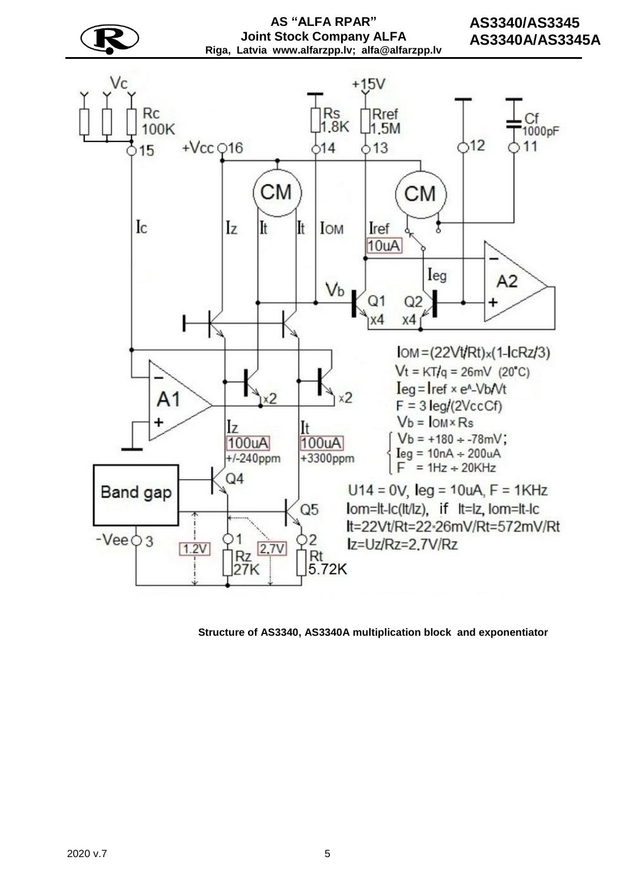

**Structure of AS3340, AS3340A multiplication block and exponentiator**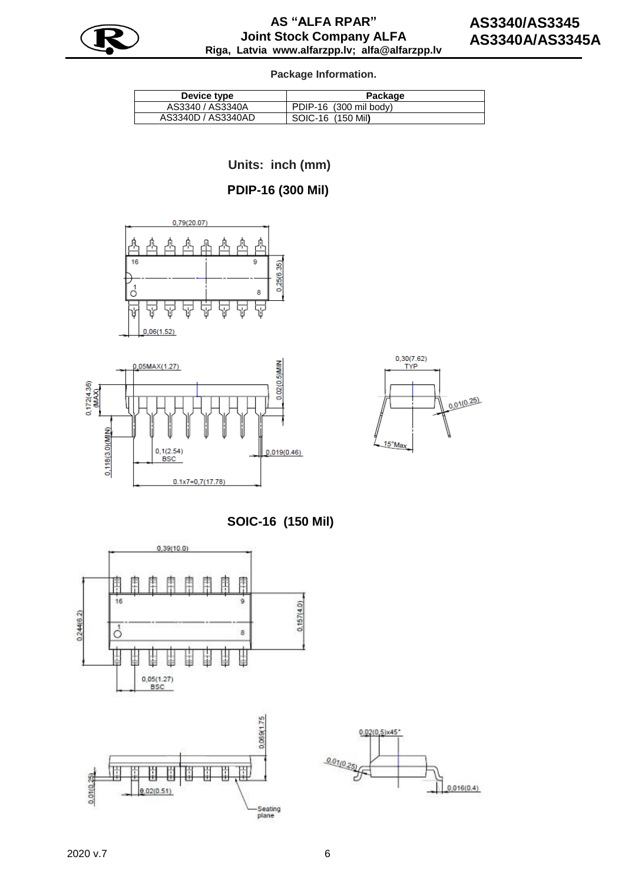

#### **Package Information.**

| Device type        | Package                |
|--------------------|------------------------|
| AS3340 / AS3340A   | PDIP-16 (300 mil body) |
| AS3340D / AS3340AD | SOIC-16 (150 Mil)      |

 **Units: inch (mm)**

# **РDIP-16 (300 Mil)**







 **SOIC-16 (150 Mil)**